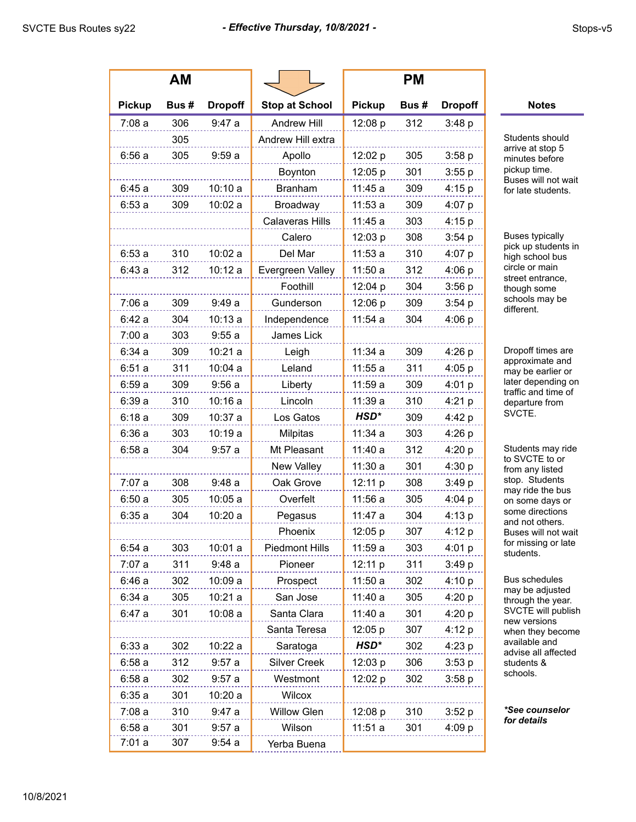|               | AM   |                |                        |               | <b>PM</b> |                |                                                                                                                                                         |
|---------------|------|----------------|------------------------|---------------|-----------|----------------|---------------------------------------------------------------------------------------------------------------------------------------------------------|
| <b>Pickup</b> | Bus# | <b>Dropoff</b> | <b>Stop at School</b>  | <b>Pickup</b> | Bus#      | <b>Dropoff</b> | <b>Notes</b>                                                                                                                                            |
| 7:08a         | 306  | 9:47a          | Andrew Hill            | 12:08 p       | 312       | 3:48 p         |                                                                                                                                                         |
|               | 305  |                | Andrew Hill extra      |               |           |                | Students should<br>arrive at stop 5<br>minutes before<br>pickup time.<br>Buses will not wait<br>for late students.                                      |
| 6:56a         | 305  | 9:59a          | Apollo                 | 12:02 p       | 305       | 3:58 p         |                                                                                                                                                         |
|               |      |                | Boynton                | 12:05 p       | 301       | 3:55 p         |                                                                                                                                                         |
| 6:45a         | 309  | 10:10a         | <b>Branham</b>         | 11:45a        | 309       | 4:15 p         |                                                                                                                                                         |
| 6:53a         | 309  | 10:02a         | Broadway               | 11:53a        | 309       | 4:07 p         |                                                                                                                                                         |
|               |      |                | <b>Calaveras Hills</b> | 11:45 a       | 303       | 4:15 p         |                                                                                                                                                         |
|               |      |                | Calero                 | 12:03 p       | 308       | 3:54 p         | <b>Buses typically</b><br>pick up students in<br>high school bus<br>circle or main                                                                      |
| 6:53a         | 310  | 10:02a         | Del Mar                | 11:53a        | 310       | 4:07 p         |                                                                                                                                                         |
| 6:43a         | 312  | 10:12a         | Evergreen Valley       | 11:50a        | 312       | 4:06 p         |                                                                                                                                                         |
|               |      |                | Foothill               | 12:04 p       | 304       | 3:56 p         | street entrance.<br>though some                                                                                                                         |
| 7:06a         | 309  | 9:49a          | Gunderson              | 12:06 p       | 309       | 3:54 p         | schools may be<br>different.                                                                                                                            |
| 6:42a         | 304  | 10:13a         | Independence           | 11:54a        | 304       | 4:06 p         |                                                                                                                                                         |
| 7:00a         | 303  | 9:55a          | James Lick             |               |           |                |                                                                                                                                                         |
| 6:34a         | 309  | 10:21a         | Leigh                  | 11:34a        | 309       | 4:26 p         | Dropoff times are<br>approximate and<br>may be earlier or<br>later depending on<br>traffic and time of<br>departure from<br>SVCTE.<br>Students may ride |
| 6:51a         | 311  | 10:04a         | Leland                 | 11:55a        | 311       | 4:05 p         |                                                                                                                                                         |
| 6:59a         | 309  | 9:56a          | Liberty                | 11:59a        | 309       | 4:01 p         |                                                                                                                                                         |
| 6:39a         | 310  | 10:16a         | Lincoln                | 11:39a        | 310       | 4:21 p         |                                                                                                                                                         |
| 6:18a         | 309  | 10:37a         | Los Gatos              | HSD*          | 309       | 4:42 p         |                                                                                                                                                         |
| 6:36a         | 303  | 10:19a         | Milpitas               | 11:34a        | 303       | 4:26 p         |                                                                                                                                                         |
| 6:58a         | 304  | 9:57a          | Mt Pleasant            | 11:40a        | 312       | 4:20 p         |                                                                                                                                                         |
|               |      |                | New Valley             | 11:30a        | 301       | 4:30 p         | to SVCTE to or<br>from any listed                                                                                                                       |
| 7:07 a        | 308  | 9:48a          | Oak Grove              | 12:11 p       | 308       | 3:49 p         | stop. Students<br>may ride the bus                                                                                                                      |
| 6:50a         | 305  | 10:05a         | Overfelt               | 11:56a        | 305       | 4:04 p         | on some days or<br>some directions<br>and not others.                                                                                                   |
| 6:35a         | 304  | 10:20a         | Pegasus                | 11:47 a       | 304       | 4:13 p         |                                                                                                                                                         |
|               |      |                | Phoenix                | 12:05 p       | 307       | 4:12 p         | Buses will not wait                                                                                                                                     |
| 6:54a         | 303  | 10:01a         | <b>Piedmont Hills</b>  | 11:59a        | 303       | 4:01 p         | for missing or late<br>students.<br>Bus schedules<br>may be adjusted<br>through the year.<br>SVCTE will publish<br>new versions<br>when they become     |
| 7:07a         | 311  | 9:48a          | Pioneer                | 12:11 p       | 311       | 3:49 p         |                                                                                                                                                         |
| 6:46a         | 302  | 10:09a         | Prospect               | 11:50a        | 302       | 4:10 p         |                                                                                                                                                         |
| 6:34a         | 305  | 10:21a         | San Jose               | 11:40a        | 305       | 4:20 p         |                                                                                                                                                         |
| 6:47a         | 301  | 10:08a         | Santa Clara            | 11:40a        | 301       | 4:20 p         |                                                                                                                                                         |
|               |      |                | Santa Teresa           | 12:05 p       | 307       | 4:12 p         |                                                                                                                                                         |
| 6:33a         | 302  | 10:22a         | Saratoga               | HSD*          | 302       | 4:23 p         | available and<br>advise all affected                                                                                                                    |
| 6:58a         | 312  | 9:57a          | <b>Silver Creek</b>    | 12:03 p       | 306       | 3:53 p         | students &<br>schools.                                                                                                                                  |
| 6:58a         | 302  | 9:57a          | Westmont               | 12:02 p       | 302       | 3:58 p         |                                                                                                                                                         |
| 6:35a         | 301  | 10:20a         | Wilcox                 |               |           |                |                                                                                                                                                         |
| 7:08a         | 310  | 9:47a          | <b>Willow Glen</b>     | 12:08 p       | 310       | 3:52 p         | *See counselor<br>for details                                                                                                                           |
| 6:58a         | 301  | 9:57a          | Wilson                 | 11:51a        | 301       | 4:09 p         |                                                                                                                                                         |
| 7:01a         | 307  | 9:54a          | Yerba Buena            |               |           |                |                                                                                                                                                         |